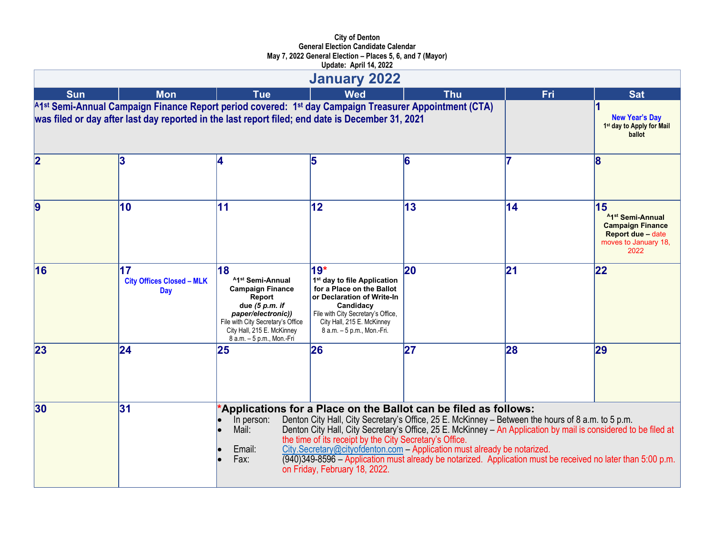|                         |                                                                                                                                                                                                           |                                                                                                                                                                                                                  | <b>January 2022</b>                                                                                                                                                                                                        |                                                                                                                                                                                                                                                                                                                                                                                                                                                                                    |               |                                                                                                                          |
|-------------------------|-----------------------------------------------------------------------------------------------------------------------------------------------------------------------------------------------------------|------------------------------------------------------------------------------------------------------------------------------------------------------------------------------------------------------------------|----------------------------------------------------------------------------------------------------------------------------------------------------------------------------------------------------------------------------|------------------------------------------------------------------------------------------------------------------------------------------------------------------------------------------------------------------------------------------------------------------------------------------------------------------------------------------------------------------------------------------------------------------------------------------------------------------------------------|---------------|--------------------------------------------------------------------------------------------------------------------------|
| <b>Sun</b>              | <b>Mon</b>                                                                                                                                                                                                | <b>Tue</b>                                                                                                                                                                                                       | <b>Wed</b>                                                                                                                                                                                                                 | <b>Thu</b>                                                                                                                                                                                                                                                                                                                                                                                                                                                                         | Fri           | <b>Sat</b>                                                                                                               |
|                         | A1st Semi-Annual Campaign Finance Report period covered: 1st day Campaign Treasurer Appointment (CTA)<br>was filed or day after last day reported in the last report filed; end date is December 31, 2021 |                                                                                                                                                                                                                  |                                                                                                                                                                                                                            |                                                                                                                                                                                                                                                                                                                                                                                                                                                                                    |               | <b>New Year's Day</b><br>1st day to Apply for Mail<br>ballot                                                             |
| $\overline{\mathbf{2}}$ | 3                                                                                                                                                                                                         | 14.                                                                                                                                                                                                              | 5                                                                                                                                                                                                                          | 6                                                                                                                                                                                                                                                                                                                                                                                                                                                                                  |               | l8                                                                                                                       |
| 9                       | 10                                                                                                                                                                                                        | 11                                                                                                                                                                                                               | 12                                                                                                                                                                                                                         | 13                                                                                                                                                                                                                                                                                                                                                                                                                                                                                 | 14            | 15<br><sup>A1st</sup> Semi-Annual<br><b>Campaign Finance</b><br><b>Report due - date</b><br>moves to January 18,<br>2022 |
| 16                      | 17<br><b>City Offices Closed - MLK</b><br>Day                                                                                                                                                             | 18<br><sup>A1st</sup> Semi-Annual<br><b>Campaign Finance</b><br>Report<br>due $(5 p.m. if$<br>paper/electronic))<br>File with City Secretary's Office<br>City Hall, 215 E. McKinney<br>8 a.m. - 5 p.m., Mon.-Fri | $19*$<br>1 <sup>st</sup> day to file Application<br>for a Place on the Ballot<br>or Declaration of Write-In<br>Candidacy<br>File with City Secretary's Office,<br>City Hall, 215 E. McKinney<br>8 a.m. - 5 p.m., Mon.-Fri. | 20                                                                                                                                                                                                                                                                                                                                                                                                                                                                                 | $\mathbf{21}$ | 22                                                                                                                       |
| 23                      | 24                                                                                                                                                                                                        | 25                                                                                                                                                                                                               | 26                                                                                                                                                                                                                         | 27                                                                                                                                                                                                                                                                                                                                                                                                                                                                                 | 28            | 29                                                                                                                       |
| 30                      | 31                                                                                                                                                                                                        | In person:<br>Mail:<br>Email:<br>Fax:                                                                                                                                                                            | the time of its receipt by the City Secretary's Office.<br>on Friday, February 18, 2022.                                                                                                                                   | Applications for a Place on the Ballot can be filed as follows:<br>Denton City Hall, City Secretary's Office, 25 E. McKinney - Between the hours of 8 a.m. to 5 p.m.<br>Denton City Hall, City Secretary's Office, 25 E. McKinney - An Application by mail is considered to be filed at<br>City.Secretary@cityofdenton.com - Application must already be notarized.<br>(940)349-8596 – Application must already be notarized. Application must be received no later than 5:00 p.m. |               |                                                                                                                          |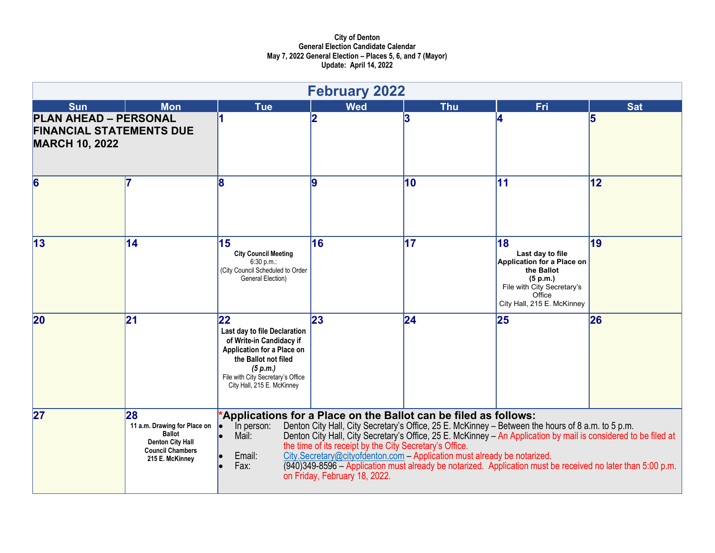|                                                                                          |                                                                                                                              |                                                                                                                                                                                                     | <b>February 2022</b>                                                                     |                                                                                                                                                                                                                                                                                                                                                                                                                                                                                     |                                                                                                                                                             |            |
|------------------------------------------------------------------------------------------|------------------------------------------------------------------------------------------------------------------------------|-----------------------------------------------------------------------------------------------------------------------------------------------------------------------------------------------------|------------------------------------------------------------------------------------------|-------------------------------------------------------------------------------------------------------------------------------------------------------------------------------------------------------------------------------------------------------------------------------------------------------------------------------------------------------------------------------------------------------------------------------------------------------------------------------------|-------------------------------------------------------------------------------------------------------------------------------------------------------------|------------|
| <b>Sun</b>                                                                               | <b>Mon</b>                                                                                                                   | <b>Tue</b>                                                                                                                                                                                          | <b>Wed</b>                                                                               | <b>Thu</b>                                                                                                                                                                                                                                                                                                                                                                                                                                                                          | <b>Fri</b>                                                                                                                                                  | <b>Sat</b> |
| <b>PLAN AHEAD - PERSONAL</b><br><b>FINANCIAL STATEMENTS DUE</b><br><b>MARCH 10, 2022</b> |                                                                                                                              |                                                                                                                                                                                                     | 2                                                                                        | 3                                                                                                                                                                                                                                                                                                                                                                                                                                                                                   |                                                                                                                                                             | 5          |
| 6                                                                                        | 17                                                                                                                           | 8                                                                                                                                                                                                   | 19                                                                                       | 10                                                                                                                                                                                                                                                                                                                                                                                                                                                                                  | 11                                                                                                                                                          | 12         |
| 13                                                                                       | 14                                                                                                                           | 15<br><b>City Council Meeting</b><br>6:30 p.m.<br>(City Council Scheduled to Order<br>General Election)                                                                                             | 16                                                                                       | 17                                                                                                                                                                                                                                                                                                                                                                                                                                                                                  | 18<br>Last day to file<br><b>Application for a Place on</b><br>the Ballot<br>(5 p.m.)<br>File with City Secretary's<br>Office<br>City Hall, 215 E. McKinney | $\vert$ 19 |
| 20                                                                                       | 21                                                                                                                           | 22<br>Last day to file Declaration<br>of Write-in Candidacy if<br>Application for a Place on<br>the Ballot not filed<br>(5 p.m.)<br>File with City Secretary's Office<br>City Hall, 215 E. McKinney | 23                                                                                       | 24                                                                                                                                                                                                                                                                                                                                                                                                                                                                                  | 25                                                                                                                                                          | 26         |
| 27                                                                                       | 28<br>11 a.m. Drawing for Place on<br><b>Ballot</b><br><b>Denton City Hall</b><br><b>Council Chambers</b><br>215 E. McKinney | In person:<br>le.<br>Mail:<br>Email:<br>Fax:                                                                                                                                                        | the time of its receipt by the City Secretary's Office.<br>on Friday, February 18, 2022. | *Applications for a Place on the Ballot can be filed as follows:<br>Denton City Hall, City Secretary's Office, 25 E. McKinney - Between the hours of 8 a.m. to 5 p.m.<br>Denton City Hall, City Secretary's Office, 25 E. McKinney - An Application by mail is considered to be filed at<br>City.Secretary@cityofdenton.com - Application must already be notarized.<br>(940)349-8596 – Application must already be notarized. Application must be received no later than 5:00 p.m. |                                                                                                                                                             |            |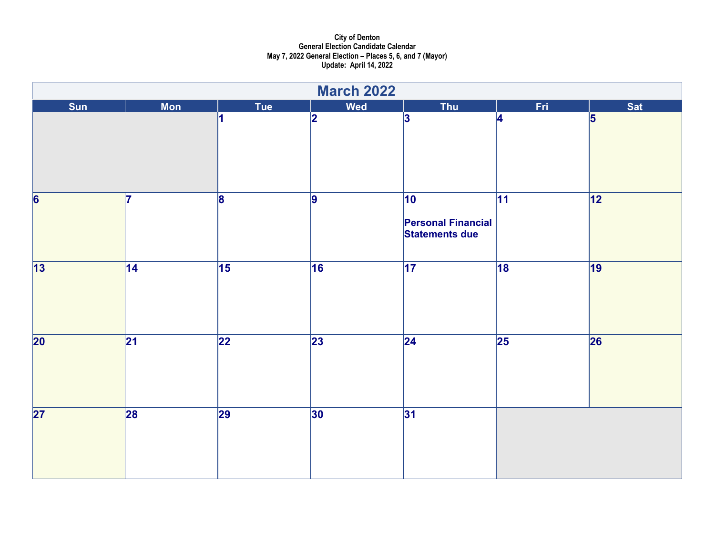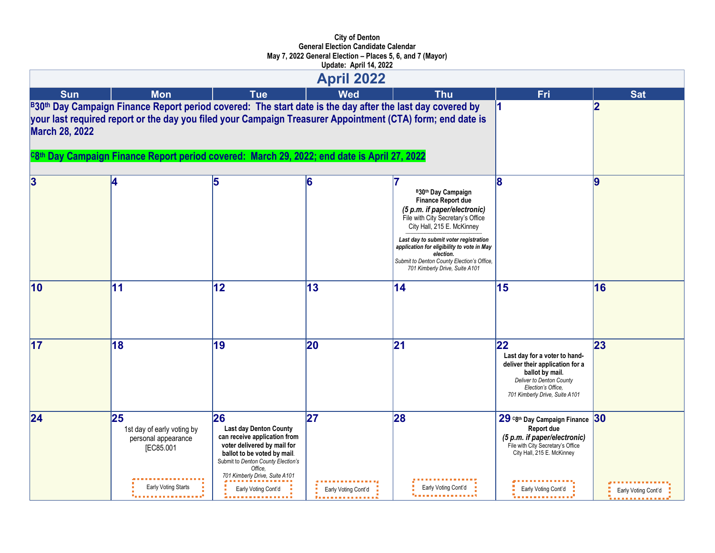|                       |                                                                                                                                                                                                                                                                                                                        |                                                                                                                                                                                                                                                  | <b>April 2022</b>         |                                                                                                                                                                                                                                                                                                                                 |                                                                                                                                                                                |                           |
|-----------------------|------------------------------------------------------------------------------------------------------------------------------------------------------------------------------------------------------------------------------------------------------------------------------------------------------------------------|--------------------------------------------------------------------------------------------------------------------------------------------------------------------------------------------------------------------------------------------------|---------------------------|---------------------------------------------------------------------------------------------------------------------------------------------------------------------------------------------------------------------------------------------------------------------------------------------------------------------------------|--------------------------------------------------------------------------------------------------------------------------------------------------------------------------------|---------------------------|
| <b>Sun</b>            | <b>Mon</b>                                                                                                                                                                                                                                                                                                             | <b>Tue</b>                                                                                                                                                                                                                                       | <b>Wed</b>                | <b>Thu</b>                                                                                                                                                                                                                                                                                                                      | Fri                                                                                                                                                                            | <b>Sat</b>                |
| <b>March 28, 2022</b> | B30th Day Campaign Finance Report period covered: The start date is the day after the last day covered by<br>your last required report or the day you filed your Campaign Treasurer Appointment (CTA) form; end date is<br>C8th Day Campaign Finance Report period covered: March 29, 2022; end date is April 27, 2022 |                                                                                                                                                                                                                                                  |                           |                                                                                                                                                                                                                                                                                                                                 |                                                                                                                                                                                |                           |
| 3                     |                                                                                                                                                                                                                                                                                                                        | 5                                                                                                                                                                                                                                                | 6                         | B30th Day Campaign<br>Finance Report due<br>(5 p.m. if paper/electronic)<br>File with City Secretary's Office<br>City Hall, 215 E. McKinney<br>Last day to submit voter registration<br>application for eligibility to vote in May<br>election.<br>Submit to Denton County Election's Office,<br>701 Kimberly Drive, Suite A101 | 18                                                                                                                                                                             | 9                         |
| 10                    | 11                                                                                                                                                                                                                                                                                                                     | 12                                                                                                                                                                                                                                               | 13                        | 14                                                                                                                                                                                                                                                                                                                              | 15                                                                                                                                                                             | 16                        |
| $\overline{17}$       | 18                                                                                                                                                                                                                                                                                                                     | 19                                                                                                                                                                                                                                               | 20                        | 21                                                                                                                                                                                                                                                                                                                              | 22 <br>Last day for a voter to hand-<br>deliver their application for a<br>ballot by mail.<br>Deliver to Denton County<br>Election's Office.<br>701 Kimberly Drive, Suite A101 | 23                        |
| 24                    | 25<br>1st day of early voting by<br>personal appearance<br>[EC85.001<br>Early Voting Starts                                                                                                                                                                                                                            | 26<br><b>Last day Denton County</b><br>can receive application from<br>voter delivered by mail for<br>ballot to be voted by mail.<br>Submit to Denton County Election's<br>Office.<br>701 Kimberly Drive, Suite A101<br>Early Voting Cont'd<br>. | 27<br>Early Voting Cont'd | 28<br>Early Voting Cont'd                                                                                                                                                                                                                                                                                                       | 29 C8th Day Campaign Finance<br>Report due<br>(5 p.m. if paper/electronic)<br>File with City Secretary's Office<br>City Hall, 215 E. McKinney<br>Early Voting Cont'd<br>.      | 30<br>Early Voting Cont'd |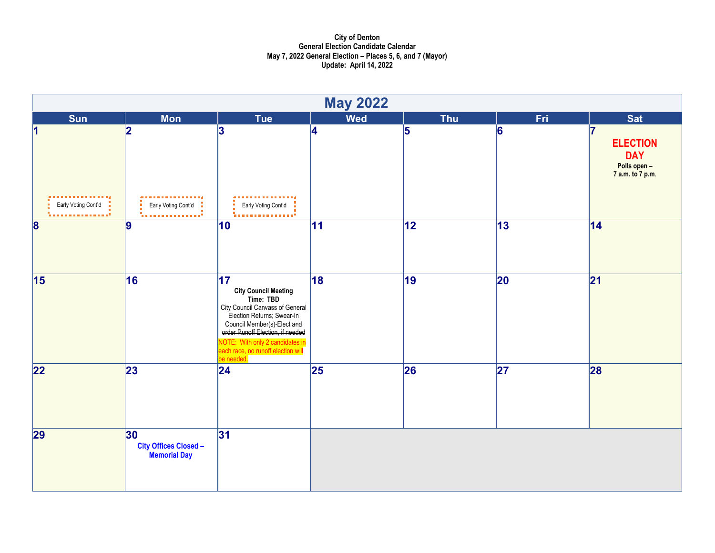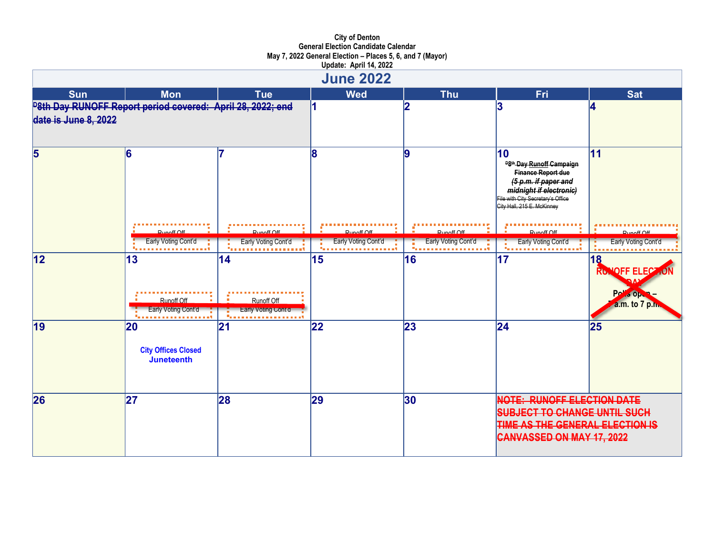|                      |                                                                   |                                                              | <b>June 2022</b>    |                           |                                                                                                                                                                                                                                                 |                                                      |
|----------------------|-------------------------------------------------------------------|--------------------------------------------------------------|---------------------|---------------------------|-------------------------------------------------------------------------------------------------------------------------------------------------------------------------------------------------------------------------------------------------|------------------------------------------------------|
| <b>Sun</b>           | <b>Mon</b>                                                        | <b>Tue</b>                                                   | <b>Wed</b>          | <b>Thu</b>                | Fri                                                                                                                                                                                                                                             | <b>Sat</b>                                           |
| date is June 8, 2022 | <b>P8th Day RUNOFF Report period covered: April 28, 2022; end</b> |                                                              |                     | 12                        | 3                                                                                                                                                                                                                                               | 4                                                    |
| 5                    | 6                                                                 |                                                              | 8                   | 9                         | 10<br><sup>D8th</sup> Day Runoff Campaign<br>Finance Report due<br>(5 p.m. if paper and<br>midnight if electronic)<br>File with City Secretary's Office<br>City Hall, 215 E. McKinney<br>$D_{1}$ <sub>n</sub> $A$ <sup>#</sup> $C$ <sup>#</sup> | 11<br>$D$ unoff $\bigcap$ ff                         |
|                      | Early Voting Cont'd                                               | Early Voting Cont'd                                          | Early Voting Cont'd | Early Voting Cont'd<br>医肾 | Early Voting Cont'd                                                                                                                                                                                                                             | Early Voting Cont'd                                  |
| 12                   | 13<br>Runoff Off<br>Early Voting Cont'd<br>.                      | 14<br><b>Runoff Off</b><br><b>Larly Voting Cont a</b><br>. 7 | 15                  | 16                        | 17                                                                                                                                                                                                                                              | 18<br>RUNOFF ELECTION<br>Pris open<br>a.m. to 7 p.m. |
| 19                   | 20<br><b>City Offices Closed</b><br>Juneteenth                    | 21                                                           | 22                  | 23                        | $\overline{24}$                                                                                                                                                                                                                                 | 25                                                   |
| 26                   | 27                                                                | 28                                                           | 29                  | $ 30\rangle$              | <b>NOTE: RUNOFF ELECTION DATE</b><br><b>SUBJECT TO CHANGE UNTIL SUCH</b><br>TIME AS THE GENERAL ELECTION IS<br>CANVASSED ON MAY 17, 2022                                                                                                        |                                                      |